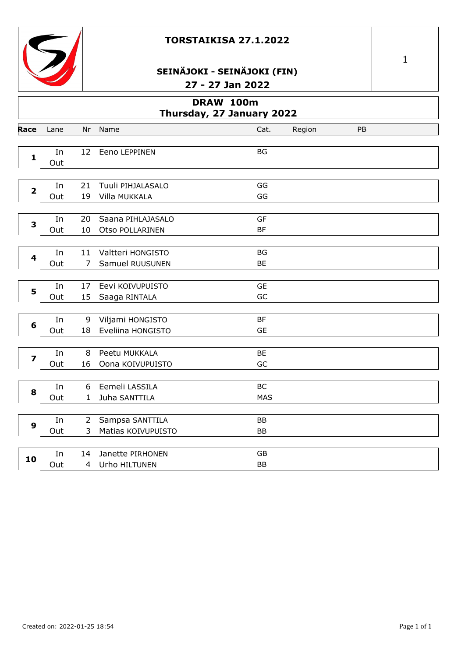



# **SEINÄJOKI - SEINÄJOKI (FIN) 27 - 27 Jan 2022**

|                         | DRAW 100m<br>Thursday, 27 January 2022 |                |                    |                 |        |    |  |  |
|-------------------------|----------------------------------------|----------------|--------------------|-----------------|--------|----|--|--|
| Race                    | Lane                                   | Nr             | Name               | Cat.            | Region | PB |  |  |
|                         |                                        |                |                    |                 |        |    |  |  |
| $\mathbf{1}$            | In<br>Out                              | 12             | Eeno LEPPINEN      | BG              |        |    |  |  |
|                         |                                        |                |                    |                 |        |    |  |  |
|                         | In                                     | 21             | Tuuli PIHJALASALO  | GG              |        |    |  |  |
| $\overline{\mathbf{2}}$ | Out                                    | 19             | Villa MUKKALA      | GG              |        |    |  |  |
|                         |                                        |                |                    |                 |        |    |  |  |
| 3                       | In                                     | 20             | Saana PIHLAJASALO  | <b>GF</b>       |        |    |  |  |
|                         | Out                                    | 10             | Otso POLLARINEN    | <b>BF</b>       |        |    |  |  |
|                         |                                        |                |                    |                 |        |    |  |  |
| $\overline{\mathbf{4}}$ | In                                     | 11             | Valtteri HONGISTO  | <b>BG</b><br>BE |        |    |  |  |
|                         | Out                                    | 7              | Samuel RUUSUNEN    |                 |        |    |  |  |
| 5                       | In                                     | 17             | Eevi KOIVUPUISTO   | <b>GE</b>       |        |    |  |  |
|                         | Out                                    | 15             | Saaga RINTALA      | GC              |        |    |  |  |
|                         |                                        |                |                    |                 |        |    |  |  |
| 6                       | In                                     | 9              | Viljami HONGISTO   | <b>BF</b>       |        |    |  |  |
|                         | Out                                    | 18             | Eveliina HONGISTO  | <b>GE</b>       |        |    |  |  |
|                         |                                        |                |                    |                 |        |    |  |  |
| $\overline{\mathbf{z}}$ | In                                     | 8<br>16        | Peetu MUKKALA      | BE<br>GC        |        |    |  |  |
|                         | Out                                    |                | Oona KOIVUPUISTO   |                 |        |    |  |  |
|                         | In                                     | 6              | Eemeli LASSILA     | <b>BC</b>       |        |    |  |  |
| 8                       | Out                                    | 1              | Juha SANTTILA      | <b>MAS</b>      |        |    |  |  |
|                         |                                        |                |                    |                 |        |    |  |  |
| $\boldsymbol{9}$        | In                                     | $\overline{2}$ | Sampsa SANTTILA    | <b>BB</b>       |        |    |  |  |
|                         | Out                                    | 3              | Matias KOIVUPUISTO | BB              |        |    |  |  |
|                         |                                        |                |                    |                 |        |    |  |  |
| 10                      | In                                     | 14             | Janette PIRHONEN   | GB              |        |    |  |  |
|                         | Out                                    | 4              | Urho HILTUNEN      | <b>BB</b>       |        |    |  |  |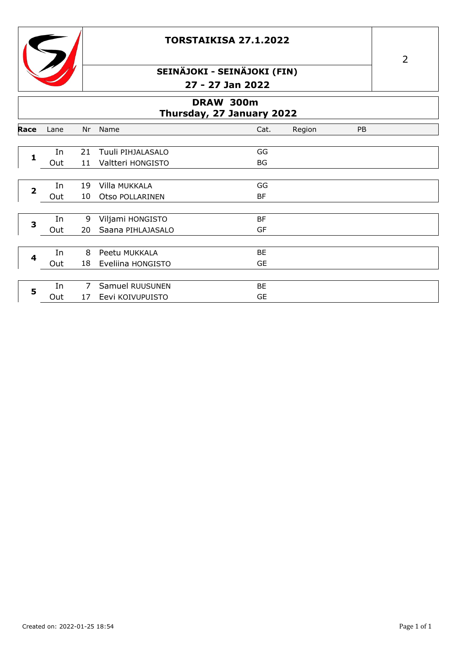



## **SEINÄJOKI - SEINÄJOKI (FIN) 27 - 27 Jan 2022**

|                         |                                        |    | - 1               | 47 JUH 4944 |        |           |  |  |
|-------------------------|----------------------------------------|----|-------------------|-------------|--------|-----------|--|--|
|                         | DRAW 300m<br>Thursday, 27 January 2022 |    |                   |             |        |           |  |  |
| Race                    | Lane                                   | Nr | Name              | Cat.        | Region | <b>PB</b> |  |  |
| 1                       | In                                     | 21 | Tuuli PIHJALASALO | GG<br>BG    |        |           |  |  |
|                         | Out                                    | 11 | Valtteri HONGISTO |             |        |           |  |  |
| $\overline{\mathbf{2}}$ | In                                     | 19 | Villa MUKKALA     | GG          |        |           |  |  |
|                         | Out                                    | 10 | Otso POLLARINEN   | <b>BF</b>   |        |           |  |  |
| 3                       | In                                     | 9  | Viljami HONGISTO  | BF          |        |           |  |  |
|                         | Out                                    | 20 | Saana PIHLAJASALO | GF          |        |           |  |  |
|                         | In                                     | 8  | Peetu MUKKALA     | BE          |        |           |  |  |
| 4                       | Out                                    | 18 | Eveliina HONGISTO | <b>GE</b>   |        |           |  |  |
|                         | In                                     | 7  | Samuel RUUSUNEN   | BE          |        |           |  |  |
| 5                       | Out                                    | 17 | Eevi KOIVUPUISTO  | <b>GE</b>   |        |           |  |  |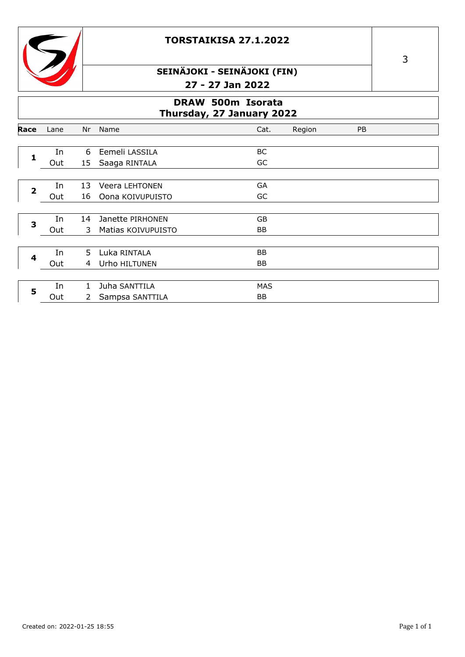



## SEINÄJOKI - SEINÄJOKI (FIN) 27 - 27 Jan 2022

#### **DRAW 500m Isorata** Thursday, 27 January 2022

|                  |      |              | . <del>.</del>        |            |        |    |  |
|------------------|------|--------------|-----------------------|------------|--------|----|--|
| Race             | Lane | Nr           | Name                  | Cat.       | Region | PB |  |
|                  |      |              |                       |            |        |    |  |
|                  | In   | 6            | Eemeli LASSILA        | BC         |        |    |  |
| 1                | Out  | 15           | Saaga RINTALA         | GC         |        |    |  |
|                  |      |              |                       |            |        |    |  |
| $\overline{2}$   | In   | 13           | <b>Veera LEHTONEN</b> | GA         |        |    |  |
|                  | Out  | 16           | Oona KOIVUPUISTO      | GC         |        |    |  |
|                  |      |              |                       |            |        |    |  |
| 3                | In   | 14           | Janette PIRHONEN      | GB         |        |    |  |
|                  | Out  | 3            | Matias KOIVUPUISTO    | <b>BB</b>  |        |    |  |
|                  |      |              |                       |            |        |    |  |
| $\boldsymbol{4}$ | In   | 5.           | Luka RINTALA          | BB         |        |    |  |
|                  | Out  | 4            | Urho HILTUNEN         | BB         |        |    |  |
|                  |      |              |                       |            |        |    |  |
| 5                | In   | $\mathbf{1}$ | Juha SANTTILA         | <b>MAS</b> |        |    |  |
|                  | Out  | 2            | Sampsa SANTTILA       | BB         |        |    |  |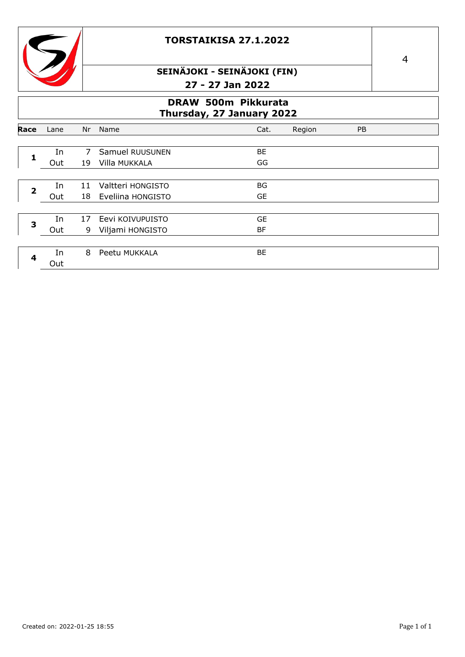



## **SEINÄJOKI - SEINÄJOKI (FIN) 27 - 27 Jan 2022**

### **DRAW 500m Pikkurata Thursday, 27 January 2022**

|      | $\frac{1}{2}$ |    |                   |           |        |           |  |  |
|------|---------------|----|-------------------|-----------|--------|-----------|--|--|
| Race | Lane          | Nr | Name              | Cat.      | Region | <b>PB</b> |  |  |
|      |               |    |                   |           |        |           |  |  |
|      | In            | 7  | Samuel RUUSUNEN   | ВE        |        |           |  |  |
|      | Out           | 19 | Villa MUKKALA     | GG        |        |           |  |  |
|      |               |    |                   |           |        |           |  |  |
| 2    | In            | 11 | Valtteri HONGISTO | BG        |        |           |  |  |
|      | Out           | 18 | Eveliina HONGISTO | GE        |        |           |  |  |
|      |               |    |                   |           |        |           |  |  |
| 3    | In            | 17 | Eevi KOIVUPUISTO  | <b>GE</b> |        |           |  |  |
|      | Out           | 9  | Viljami HONGISTO  | BF        |        |           |  |  |
|      |               |    |                   |           |        |           |  |  |
|      | In            | 8  | Peetu MUKKALA     | BЕ        |        |           |  |  |
|      | Out           |    |                   |           |        |           |  |  |